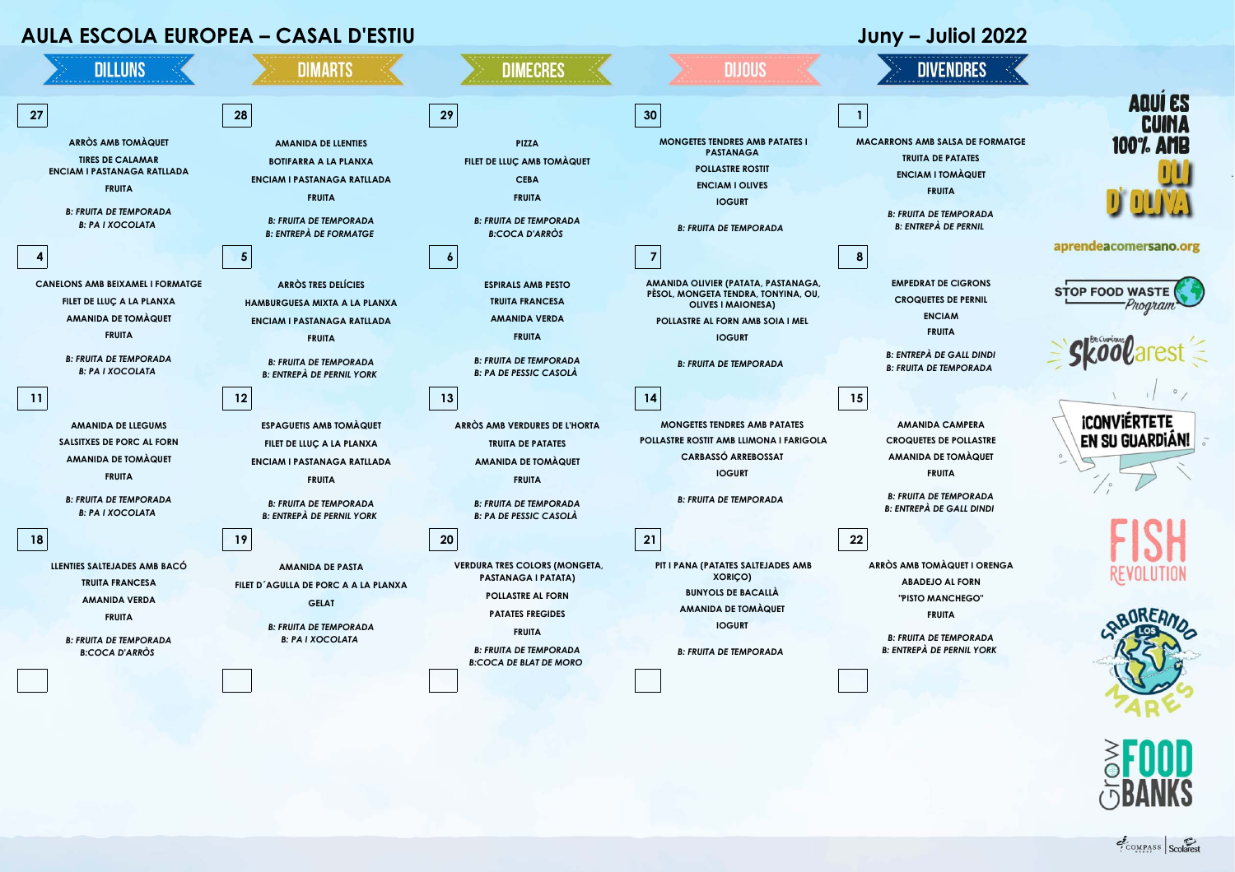